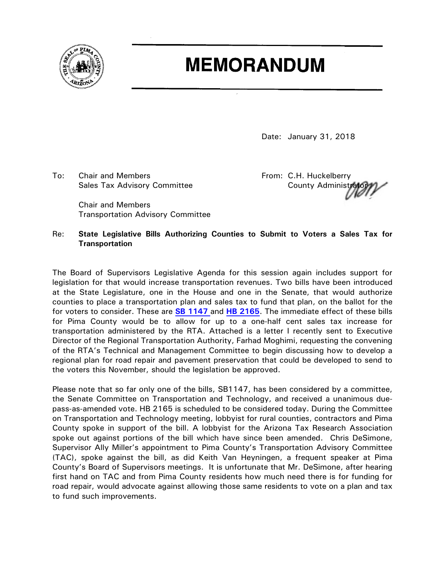

# **MEMORANDUM**

Date: January 31, 2018

To: Chair and Members The Controller C.H. Huckelberry Sales Tax Advisory Committee **County Administrators** County Administration

Chair and Members Transportation Advisory Committee

# Re: **State Legislative Bills Authorizing Counties to Submit to Voters a Sales Tax for Transportation**

The Board of Supervisors Legislative Agenda for this session again includes support for legislation for that would increase transportation revenues. Two bills have been introduced at the State Legislature, one in the House and one in the Senate, that would authorize counties to place a transportation plan and sales tax to fund that plan, on the ballot for the for voters to consider. These are **[SB 1147](https://apps.azleg.gov/BillStatus/BillOverview/70075?SessionId=119)** and **[HB 2165](https://apps.azleg.gov/BillStatus/BillOverview/69889?SessionId=119)**. The immediate effect of these bills for Pima County would be to allow for up to a one-half cent sales tax increase for transportation administered by the RTA. Attached is a letter I recently sent to Executive Director of the Regional Transportation Authority, Farhad Moghimi, requesting the convening of the RTA's Technical and Management Committee to begin discussing how to develop a regional plan for road repair and pavement preservation that could be developed to send to the voters this November, should the legislation be approved.

Please note that so far only one of the bills, SB1147, has been considered by a committee, the Senate Committee on Transportation and Technology, and received a unanimous duepass-as-amended vote. HB 2165 is scheduled to be considered today. During the Committee on Transportation and Technology meeting, lobbyist for rural counties, contractors and Pima County spoke in support of the bill. A lobbyist for the Arizona Tax Research Association spoke out against portions of the bill which have since been amended. Chris DeSimone, Supervisor Ally Miller's appointment to Pima County's Transportation Advisory Committee (TAC), spoke against the bill, as did Keith Van Heyningen, a frequent speaker at Pima County's Board of Supervisors meetings. It is unfortunate that Mr. DeSimone, after hearing first hand on TAC and from Pima County residents how much need there is for funding for road repair, would advocate against allowing those same residents to vote on a plan and tax to fund such improvements.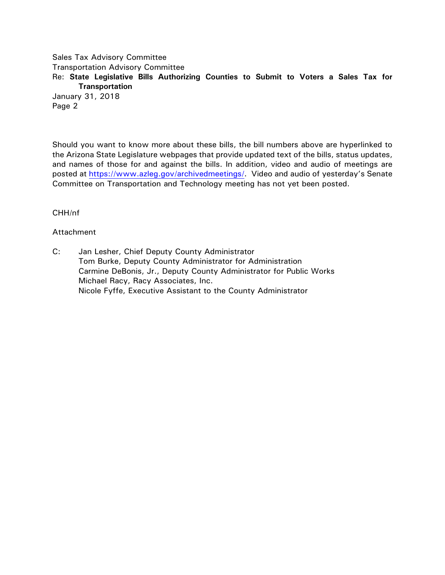Sales Tax Advisory Committee Transportation Advisory Committee Re: **State Legislative Bills Authorizing Counties to Submit to Voters a Sales Tax for Transportation** January 31, 2018 Page 2

Should you want to know more about these bills, the bill numbers above are hyperlinked to the Arizona State Legislature webpages that provide updated text of the bills, status updates, and names of those for and against the bills. In addition, video and audio of meetings are posted at [https://www.azleg.gov/archivedmeetings/.](https://www.azleg.gov/archivedmeetings/) Video and audio of yesterday's Senate Committee on Transportation and Technology meeting has not yet been posted.

CHH/nf

### Attachment

C: Jan Lesher, Chief Deputy County Administrator Tom Burke, Deputy County Administrator for Administration Carmine DeBonis, Jr., Deputy County Administrator for Public Works Michael Racy, Racy Associates, Inc. Nicole Fyffe, Executive Assistant to the County Administrator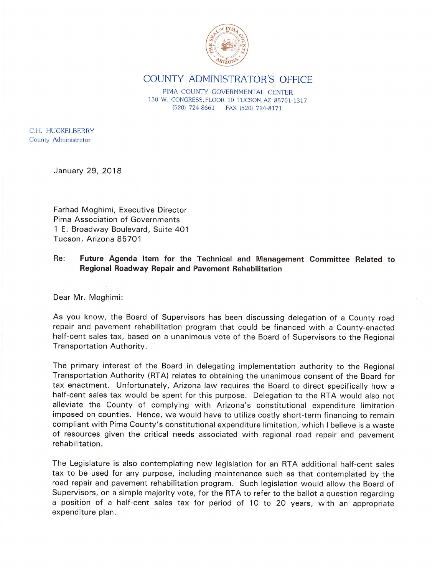

# COUNTY ADMINISTRATOR'S OFFICE

PIMA COUNTY GOVERNMENTAL CENTER 130 W. CONGRESS, FLOOR 10, TUCSON, AZ 85701-1317  $(520)$  724-8661 FAX (520) 724-8171

C.H. HUCKELBERRY County Administrator

January 29, 2018

Farhad Moghimi, Executive Director Pima Association of Governments 1 E. Broadway Boulevard, Suite 401 Tucson, Arizona 85701

#### Re: Future Agenda Item for the Technical and Management Committee Related to Regional Roadway Repair and Pavement Rehabilitation

Dear Mr. Moghimi:

As you know, the Board of Supervisors has been discussing delegation of a County road repair and pavement rehabilitation program that could be financed with a County-enacted half-cent sales tax, based on a unanimous vote of the Board of Supervisors to the Regional Transportation Authority.

The primary interest of the Board in delegating implementation authority to the Regional Transportation Authority (RTA) relates to obtaining the unanimous consent of the Board for tax enactment. Unfortunately, Arizona law requires the Board to direct specifically how a half-cent sales tax would be spent for this purpose. Delegation to the RTA would also not alleviate the County of complying with Arizona's constitutional expenditure limitation imposed on counties. Hence, we would have to utilize costly short-term financing to remain compliant with Pima County's constitutional expenditure limitation, which I believe is a waste of resources given the critical needs associated with regional road repair and pavement rehabilitation.

The Legislature is also contemplating new legislation for an RTA additional half-cent sales tax to be used for any purpose, including maintenance such as that contemplated by the road repair and pavement rehabilitation program. Such legislation would allow the Board of Supervisors, on a simple majority vote, for the RTA to refer to the ballot a question regarding a position of a half-cent sales tax for period of 10 to 20 years, with an appropriate expenditure plan.